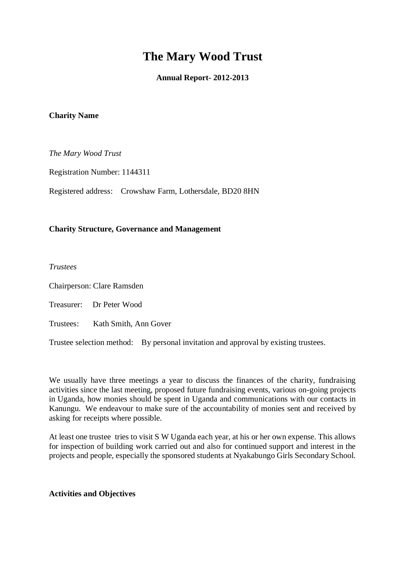# **The Mary Wood Trust**

# **Annual Report- 2012-2013**

#### **Charity Name**

*The Mary Wood Trust*

Registration Number: 1144311

Registered address: Crowshaw Farm, Lothersdale, BD20 8HN

## **Charity Structure, Governance and Management**

*Trustees*

Chairperson: Clare Ramsden

Treasurer: Dr Peter Wood

Trustees: Kath Smith, Ann Gover

Trustee selection method: By personal invitation and approval by existing trustees.

We usually have three meetings a year to discuss the finances of the charity, fundraising activities since the last meeting, proposed future fundraising events, various on-going projects in Uganda, how monies should be spent in Uganda and communications with our contacts in Kanungu. We endeavour to make sure of the accountability of monies sent and received by asking for receipts where possible.

At least one trustee tries to visit S W Uganda each year, at his or her own expense. This allows for inspection of building work carried out and also for continued support and interest in the projects and people, especially the sponsored students at Nyakabungo Girls Secondary School.

#### **Activities and Objectives**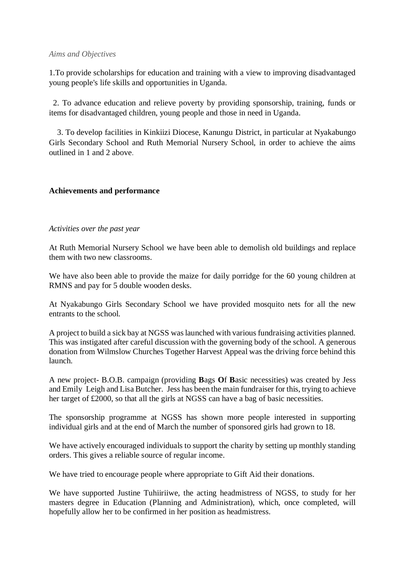#### *Aims and Objectives*

1.To provide scholarships for education and training with a view to improving disadvantaged young people's life skills and opportunities in Uganda.

2. To advance education and relieve poverty by providing sponsorship, training, funds or items for disadvantaged children, young people and those in need in Uganda.

 3. To develop facilities in Kinkiizi Diocese, Kanungu District, in particular at Nyakabungo Girls Secondary School and Ruth Memorial Nursery School, in order to achieve the aims outlined in 1 and 2 above.

# **Achievements and performance**

## *Activities over the past year*

At Ruth Memorial Nursery School we have been able to demolish old buildings and replace them with two new classrooms.

We have also been able to provide the maize for daily porridge for the 60 young children at RMNS and pay for 5 double wooden desks.

At Nyakabungo Girls Secondary School we have provided mosquito nets for all the new entrants to the school.

A project to build a sick bay at NGSS was launched with various fundraising activities planned. This was instigated after careful discussion with the governing body of the school. A generous donation from Wilmslow Churches Together Harvest Appeal was the driving force behind this launch.

A new project- B.O.B. campaign (providing **B**ags **O**f **B**asic necessities) was created by Jess and Emily Leigh and Lisa Butcher. Jess has been the main fundraiser for this, trying to achieve her target of £2000, so that all the girls at NGSS can have a bag of basic necessities.

The sponsorship programme at NGSS has shown more people interested in supporting individual girls and at the end of March the number of sponsored girls had grown to 18.

We have actively encouraged individuals to support the charity by setting up monthly standing orders. This gives a reliable source of regular income.

We have tried to encourage people where appropriate to Gift Aid their donations.

We have supported Justine Tuhiiriiwe, the acting headmistress of NGSS, to study for her masters degree in Education (Planning and Administration), which, once completed, will hopefully allow her to be confirmed in her position as headmistress.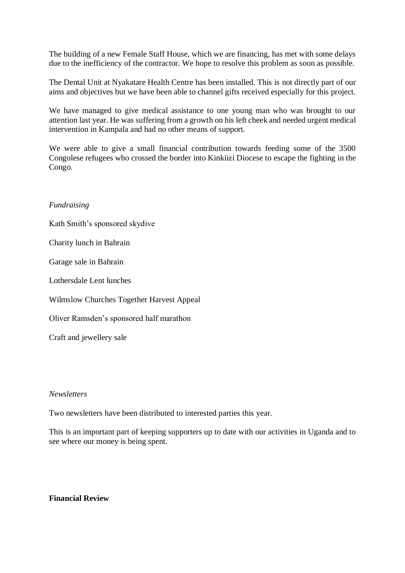The building of a new Female Staff House, which we are financing, has met with some delays due to the inefficiency of the contractor. We hope to resolve this problem as soon as possible.

The Dental Unit at Nyakatare Health Centre has been installed. This is not directly part of our aims and objectives but we have been able to channel gifts received especially for this project.

We have managed to give medical assistance to one young man who was brought to our attention last year. He was suffering from a growth on his left cheek and needed urgent medical intervention in Kampala and had no other means of support.

We were able to give a small financial contribution towards feeding some of the 3500 Congolese refugees who crossed the border into Kinkiizi Diocese to escape the fighting in the Congo.

## *Fundraising*

Kath Smith's sponsored skydive

Charity lunch in Bahrain

Garage sale in Bahrain

Lothersdale Lent lunches

Wilmslow Churches Together Harvest Appeal

Oliver Ramsden's sponsored half marathon

Craft and jewellery sale

## *Newsletters*

Two newsletters have been distributed to interested parties this year.

This is an important part of keeping supporters up to date with our activities in Uganda and to see where our money is being spent.

# **Financial Review**